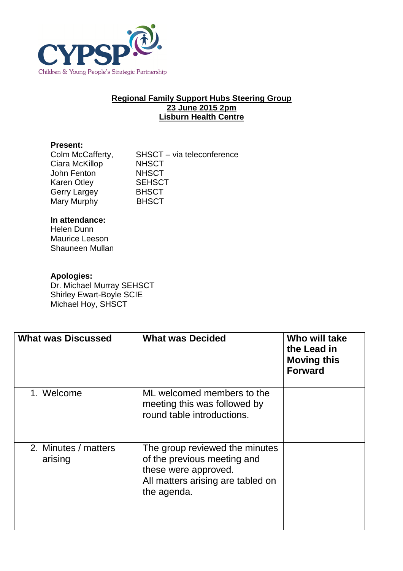

## **Regional Family Support Hubs Steering Group 23 June 2015 2pm Lisburn Health Centre**

## **Present:**

| Colm McCafferty,   | SHSCT - via teleconference |
|--------------------|----------------------------|
| Ciara McKillop     | <b>NHSCT</b>               |
| John Fenton        | <b>NHSCT</b>               |
| <b>Karen Otley</b> | <b>SEHSCT</b>              |
| Gerry Largey       | <b>BHSCT</b>               |
| Mary Murphy        | <b>BHSCT</b>               |

## **In attendance:**

Helen Dunn Maurice Leeson Shauneen Mullan

## **Apologies:**

Dr. Michael Murray SEHSCT Shirley Ewart-Boyle SCIE Michael Hoy, SHSCT

| <b>What was Discussed</b>       | <b>What was Decided</b>                                                                                                                   | Who will take<br>the Lead in<br><b>Moving this</b><br><b>Forward</b> |
|---------------------------------|-------------------------------------------------------------------------------------------------------------------------------------------|----------------------------------------------------------------------|
| 1. Welcome                      | ML welcomed members to the<br>meeting this was followed by<br>round table introductions.                                                  |                                                                      |
| 2. Minutes / matters<br>arising | The group reviewed the minutes<br>of the previous meeting and<br>these were approved.<br>All matters arising are tabled on<br>the agenda. |                                                                      |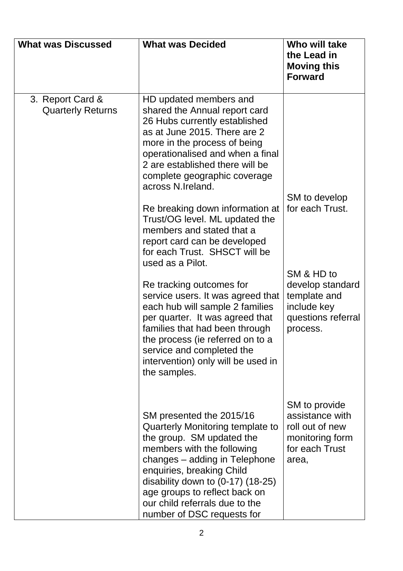| <b>What was Discussed</b>                    | <b>What was Decided</b>                                                                                                                                                                                                                                                                                                                                                                                                                                                                                 | Who will take<br>the Lead in<br><b>Moving this</b><br><b>Forward</b>                              |
|----------------------------------------------|---------------------------------------------------------------------------------------------------------------------------------------------------------------------------------------------------------------------------------------------------------------------------------------------------------------------------------------------------------------------------------------------------------------------------------------------------------------------------------------------------------|---------------------------------------------------------------------------------------------------|
| 3. Report Card &<br><b>Quarterly Returns</b> | HD updated members and<br>shared the Annual report card<br>26 Hubs currently established<br>as at June 2015. There are 2<br>more in the process of being<br>operationalised and when a final<br>2 are established there will be<br>complete geographic coverage<br>across N.Ireland.<br>Re breaking down information at<br>Trust/OG level. ML updated the<br>members and stated that a<br>report card can be developed<br>for each Trust. SHSCT will be<br>used as a Pilot.<br>Re tracking outcomes for | SM to develop<br>for each Trust.<br>SM & HD to<br>develop standard                                |
|                                              | service users. It was agreed that<br>each hub will sample 2 families<br>per quarter. It was agreed that<br>families that had been through<br>the process (ie referred on to a<br>service and completed the<br>intervention) only will be used in<br>the samples.                                                                                                                                                                                                                                        | template and<br>include key<br>questions referral<br>process.                                     |
|                                              | SM presented the 2015/16<br>Quarterly Monitoring template to<br>the group. SM updated the<br>members with the following<br>changes – adding in Telephone<br>enquiries, breaking Child<br>disability down to $(0-17)$ $(18-25)$<br>age groups to reflect back on<br>our child referrals due to the<br>number of DSC requests for                                                                                                                                                                         | SM to provide<br>assistance with<br>roll out of new<br>monitoring form<br>for each Trust<br>area, |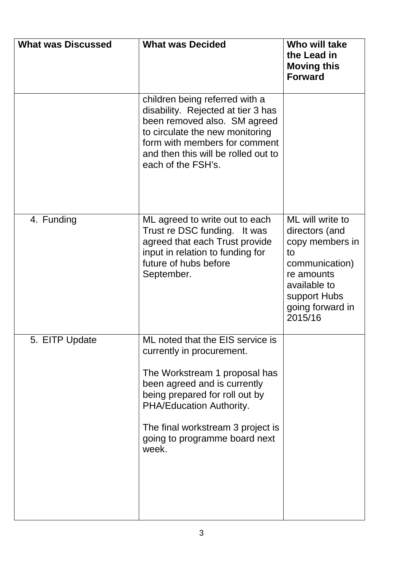| <b>What was Discussed</b> | <b>What was Decided</b>                                                                                                                                                                                                                                                     | Who will take<br>the Lead in<br><b>Moving this</b><br><b>Forward</b>                                                                                       |
|---------------------------|-----------------------------------------------------------------------------------------------------------------------------------------------------------------------------------------------------------------------------------------------------------------------------|------------------------------------------------------------------------------------------------------------------------------------------------------------|
|                           | children being referred with a<br>disability. Rejected at tier 3 has<br>been removed also. SM agreed<br>to circulate the new monitoring<br>form with members for comment<br>and then this will be rolled out to<br>each of the FSH's.                                       |                                                                                                                                                            |
| 4. Funding                | ML agreed to write out to each<br>Trust re DSC funding. It was<br>agreed that each Trust provide<br>input in relation to funding for<br>future of hubs before<br>September.                                                                                                 | ML will write to<br>directors (and<br>copy members in<br>to<br>communication)<br>re amounts<br>available to<br>support Hubs<br>going forward in<br>2015/16 |
| 5. EITP Update            | ML noted that the EIS service is<br>currently in procurement.<br>The Workstream 1 proposal has<br>been agreed and is currently<br>being prepared for roll out by<br>PHA/Education Authority.<br>The final workstream 3 project is<br>going to programme board next<br>week. |                                                                                                                                                            |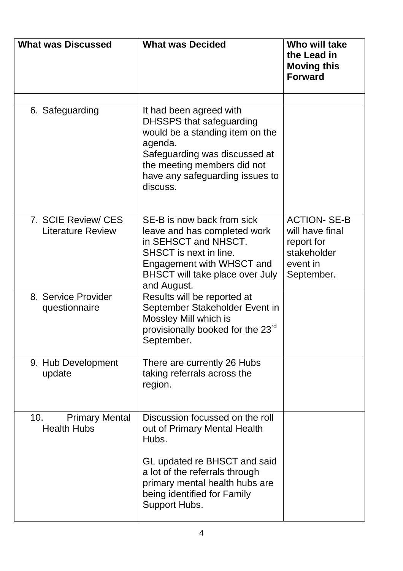| <b>What was Discussed</b>                          | <b>What was Decided</b>                                                                                                                                                                                          | Who will take<br>the Lead in<br><b>Moving this</b><br><b>Forward</b>                         |
|----------------------------------------------------|------------------------------------------------------------------------------------------------------------------------------------------------------------------------------------------------------------------|----------------------------------------------------------------------------------------------|
| 6. Safeguarding                                    | It had been agreed with<br>DHSSPS that safeguarding<br>would be a standing item on the<br>agenda.<br>Safeguarding was discussed at<br>the meeting members did not<br>have any safeguarding issues to<br>discuss. |                                                                                              |
| 7. SCIE Review/ CES<br><b>Literature Review</b>    | SE-B is now back from sick<br>leave and has completed work<br>in SEHSCT and NHSCT.<br>SHSCT is next in line.<br>Engagement with WHSCT and<br>BHSCT will take place over July<br>and August.                      | <b>ACTION-SE-B</b><br>will have final<br>report for<br>stakeholder<br>event in<br>September. |
| 8. Service Provider<br>questionnaire               | Results will be reported at<br>September Stakeholder Event in<br>Mossley Mill which is<br>provisionally booked for the 23 <sup>rd</sup><br>September.                                                            |                                                                                              |
| 9. Hub Development<br>update                       | There are currently 26 Hubs<br>taking referrals across the<br>region.                                                                                                                                            |                                                                                              |
| 10.<br><b>Primary Mental</b><br><b>Health Hubs</b> | Discussion focussed on the roll<br>out of Primary Mental Health<br>Hubs.                                                                                                                                         |                                                                                              |
|                                                    | GL updated re BHSCT and said<br>a lot of the referrals through<br>primary mental health hubs are<br>being identified for Family<br>Support Hubs.                                                                 |                                                                                              |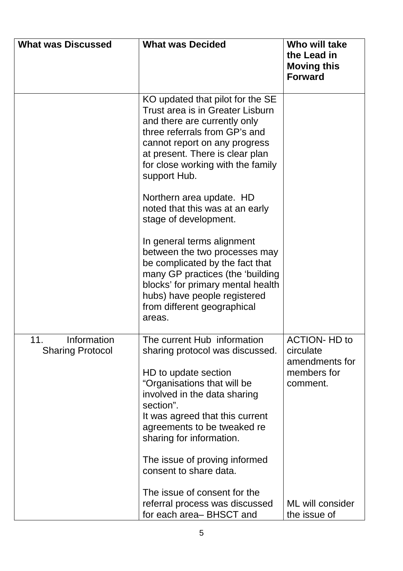| <b>What was Discussed</b>                     | <b>What was Decided</b>                                                                                                                                                                                                                                                                                                     | Who will take<br>the Lead in<br><b>Moving this</b><br><b>Forward</b>           |
|-----------------------------------------------|-----------------------------------------------------------------------------------------------------------------------------------------------------------------------------------------------------------------------------------------------------------------------------------------------------------------------------|--------------------------------------------------------------------------------|
|                                               | KO updated that pilot for the SE<br>Trust area is in Greater Lisburn<br>and there are currently only<br>three referrals from GP's and<br>cannot report on any progress<br>at present. There is clear plan<br>for close working with the family<br>support Hub.                                                              |                                                                                |
|                                               | Northern area update. HD<br>noted that this was at an early<br>stage of development.                                                                                                                                                                                                                                        |                                                                                |
|                                               | In general terms alignment<br>between the two processes may<br>be complicated by the fact that<br>many GP practices (the 'building<br>blocks' for primary mental health<br>hubs) have people registered<br>from different geographical<br>areas.                                                                            |                                                                                |
| 11.<br>Information<br><b>Sharing Protocol</b> | The current Hub information<br>sharing protocol was discussed.<br>HD to update section<br>"Organisations that will be<br>involved in the data sharing<br>section".<br>It was agreed that this current<br>agreements to be tweaked re<br>sharing for information.<br>The issue of proving informed<br>consent to share data. | <b>ACTION- HD to</b><br>circulate<br>amendments for<br>members for<br>comment. |
|                                               | The issue of consent for the<br>referral process was discussed<br>for each area– BHSCT and                                                                                                                                                                                                                                  | ML will consider<br>the issue of                                               |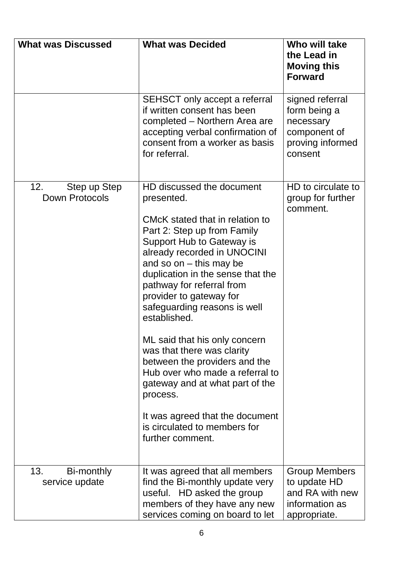| <b>What was Discussed</b>             | <b>What was Decided</b>                                                                                                                                                                                                                                                                                                                                                                                                                                                                                                                                                                                                  | Who will take<br>the Lead in<br><b>Moving this</b><br><b>Forward</b>                        |
|---------------------------------------|--------------------------------------------------------------------------------------------------------------------------------------------------------------------------------------------------------------------------------------------------------------------------------------------------------------------------------------------------------------------------------------------------------------------------------------------------------------------------------------------------------------------------------------------------------------------------------------------------------------------------|---------------------------------------------------------------------------------------------|
|                                       | <b>SEHSCT</b> only accept a referral<br>if written consent has been<br>completed - Northern Area are<br>accepting verbal confirmation of<br>consent from a worker as basis<br>for referral.                                                                                                                                                                                                                                                                                                                                                                                                                              | signed referral<br>form being a<br>necessary<br>component of<br>proving informed<br>consent |
| 12.<br>Step up Step<br>Down Protocols | HD discussed the document<br>presented.<br>CMcK stated that in relation to<br>Part 2: Step up from Family<br>Support Hub to Gateway is<br>already recorded in UNOCINI<br>and so on $-$ this may be<br>duplication in the sense that the<br>pathway for referral from<br>provider to gateway for<br>safeguarding reasons is well<br>established.<br>ML said that his only concern<br>was that there was clarity<br>between the providers and the<br>Hub over who made a referral to<br>gateway and at what part of the<br>process.<br>It was agreed that the document<br>is circulated to members for<br>further comment. | HD to circulate to<br>group for further<br>comment.                                         |
| 13.<br>Bi-monthly<br>service update   | It was agreed that all members<br>find the Bi-monthly update very<br>useful. HD asked the group<br>members of they have any new<br>services coming on board to let                                                                                                                                                                                                                                                                                                                                                                                                                                                       | <b>Group Members</b><br>to update HD<br>and RA with new<br>information as<br>appropriate.   |